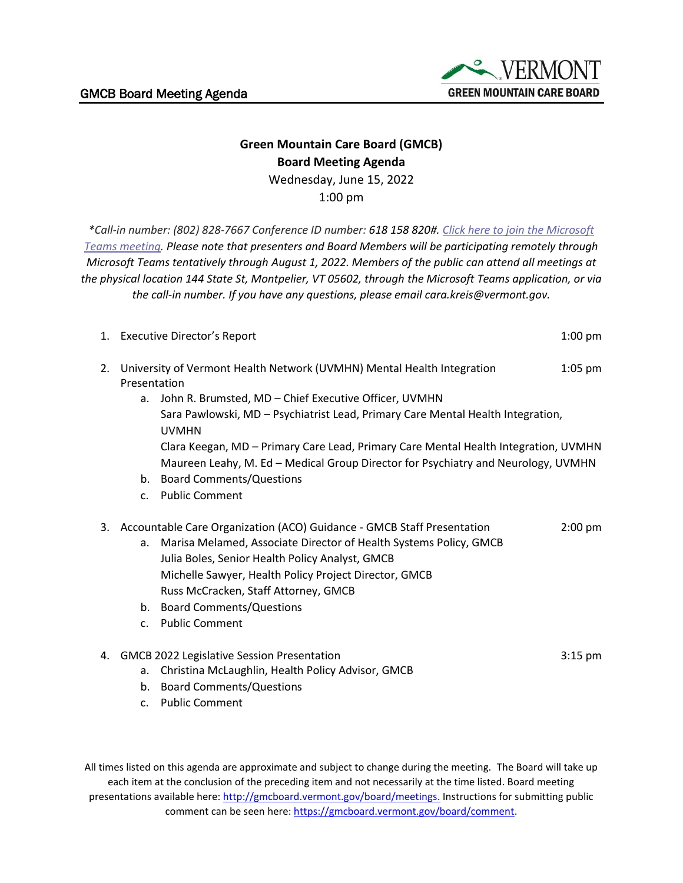

## **Green Mountain Care Board (GMCB) Board Meeting Agenda** Wednesday, June 15, 2022

1:00 pm

*\*Call-in number: (802) 828-7667 Conference ID number: 618 158 820#. [Click here to join the Microsoft](https://teams.microsoft.com/l/meetup-join/19%3ameeting_YTIxMDFiMWYtMmY0Ni00MTE3LWExNDAtNjQ4NzA4NjkyZTRj%40thread.v2/0?context=%7b%22Tid%22%3a%2220b4933b-baad-433c-9c02-70edcc7559c6%22%2c%22Oid%22%3a%2263d3547f-e4c1-4857-ba9b-7340463e85f4%22%7d)  [Teams meeting.](https://teams.microsoft.com/l/meetup-join/19%3ameeting_YTIxMDFiMWYtMmY0Ni00MTE3LWExNDAtNjQ4NzA4NjkyZTRj%40thread.v2/0?context=%7b%22Tid%22%3a%2220b4933b-baad-433c-9c02-70edcc7559c6%22%2c%22Oid%22%3a%2263d3547f-e4c1-4857-ba9b-7340463e85f4%22%7d) Please note that presenters and Board Members will be participating remotely through Microsoft Teams tentatively through August 1, 2022. Members of the public can attend all meetings at the physical location 144 State St, Montpelier, VT 05602, through the Microsoft Teams application, or via the call-in number. If you have any questions, please email cara.kreis@vermont.gov.*

|    |                                                                                        | 1. Executive Director's Report                                                                                                                                           | $1:00$ pm |
|----|----------------------------------------------------------------------------------------|--------------------------------------------------------------------------------------------------------------------------------------------------------------------------|-----------|
| 2. | University of Vermont Health Network (UVMHN) Mental Health Integration<br>Presentation |                                                                                                                                                                          | $1:05$ pm |
|    | a.                                                                                     | John R. Brumsted, MD - Chief Executive Officer, UVMHN                                                                                                                    |           |
|    |                                                                                        | Sara Pawlowski, MD - Psychiatrist Lead, Primary Care Mental Health Integration,<br><b>UVMHN</b>                                                                          |           |
|    |                                                                                        | Clara Keegan, MD - Primary Care Lead, Primary Care Mental Health Integration, UVMHN<br>Maureen Leahy, M. Ed - Medical Group Director for Psychiatry and Neurology, UVMHN |           |
|    | b.                                                                                     | <b>Board Comments/Questions</b>                                                                                                                                          |           |
|    | C <sub>1</sub>                                                                         | <b>Public Comment</b>                                                                                                                                                    |           |
| 3. | Accountable Care Organization (ACO) Guidance - GMCB Staff Presentation                 |                                                                                                                                                                          | $2:00$ pm |
|    | a.                                                                                     | Marisa Melamed, Associate Director of Health Systems Policy, GMCB                                                                                                        |           |
|    |                                                                                        | Julia Boles, Senior Health Policy Analyst, GMCB                                                                                                                          |           |
|    |                                                                                        | Michelle Sawyer, Health Policy Project Director, GMCB                                                                                                                    |           |
|    |                                                                                        | Russ McCracken, Staff Attorney, GMCB                                                                                                                                     |           |
|    | b.                                                                                     | <b>Board Comments/Questions</b>                                                                                                                                          |           |
|    | $\mathsf{C}$ .                                                                         | <b>Public Comment</b>                                                                                                                                                    |           |
| 4. |                                                                                        | <b>GMCB 2022 Legislative Session Presentation</b>                                                                                                                        | $3:15$ pm |
|    | a.                                                                                     | Christina McLaughlin, Health Policy Advisor, GMCB                                                                                                                        |           |

- b. Board Comments/Questions
- c. Public Comment

All times listed on this agenda are approximate and subject to change during the meeting. The Board will take up each item at the conclusion of the preceding item and not necessarily at the time listed. Board meeting presentations available here: [http://gmcboard.vermont.gov/board/meetings.](http://gmcboard.vermont.gov/board/meetings) Instructions for submitting public comment can be seen here: [https://gmcboard.vermont.gov/board/comment.](https://gmcboard.vermont.gov/board/comment)